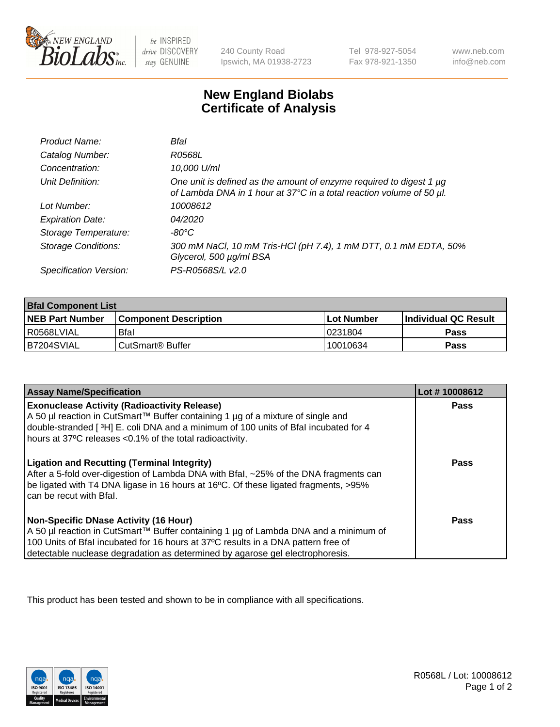

 $be$  INSPIRED drive DISCOVERY stay GENUINE

240 County Road Ipswich, MA 01938-2723 Tel 978-927-5054 Fax 978-921-1350 www.neb.com info@neb.com

## **New England Biolabs Certificate of Analysis**

| Product Name:              | Bfal                                                                                                                                        |
|----------------------------|---------------------------------------------------------------------------------------------------------------------------------------------|
| Catalog Number:            | R0568L                                                                                                                                      |
| Concentration:             | 10,000 U/ml                                                                                                                                 |
| Unit Definition:           | One unit is defined as the amount of enzyme required to digest 1 µg<br>of Lambda DNA in 1 hour at 37°C in a total reaction volume of 50 µl. |
| Lot Number:                | 10008612                                                                                                                                    |
| <b>Expiration Date:</b>    | 04/2020                                                                                                                                     |
| Storage Temperature:       | -80°C                                                                                                                                       |
| <b>Storage Conditions:</b> | 300 mM NaCl, 10 mM Tris-HCl (pH 7.4), 1 mM DTT, 0.1 mM EDTA, 50%<br>Glycerol, 500 µg/ml BSA                                                 |
| Specification Version:     | PS-R0568S/L v2.0                                                                                                                            |

| <b>Bral Component List</b> |                              |              |                             |  |
|----------------------------|------------------------------|--------------|-----------------------------|--|
| <b>NEB Part Number</b>     | <b>Component Description</b> | l Lot Number | <b>Individual QC Result</b> |  |
| l R0568LVIAL               | <b>Bfal</b>                  | 10231804     | Pass                        |  |
| B7204SVIAL                 | CutSmart <sup>®</sup> Buffer | 10010634     | Pass                        |  |

| <b>Assay Name/Specification</b>                                                                                                                                                                                                                                                                           | Lot #10008612 |
|-----------------------------------------------------------------------------------------------------------------------------------------------------------------------------------------------------------------------------------------------------------------------------------------------------------|---------------|
| <b>Exonuclease Activity (Radioactivity Release)</b><br>A 50 µl reaction in CutSmart™ Buffer containing 1 µg of a mixture of single and<br>double-stranded [3H] E. coli DNA and a minimum of 100 units of Bfal incubated for 4<br>hours at 37°C releases <0.1% of the total radioactivity.                 | Pass          |
| <b>Ligation and Recutting (Terminal Integrity)</b><br>After a 5-fold over-digestion of Lambda DNA with Bfal, ~25% of the DNA fragments can<br>be ligated with T4 DNA ligase in 16 hours at 16°C. Of these ligated fragments, >95%<br>can be recut with Bfal.                                              | Pass          |
| <b>Non-Specific DNase Activity (16 Hour)</b><br>A 50 µl reaction in CutSmart™ Buffer containing 1 µg of Lambda DNA and a minimum of<br>100 Units of Bfal incubated for 16 hours at 37°C results in a DNA pattern free of<br>detectable nuclease degradation as determined by agarose gel electrophoresis. | Pass          |

This product has been tested and shown to be in compliance with all specifications.